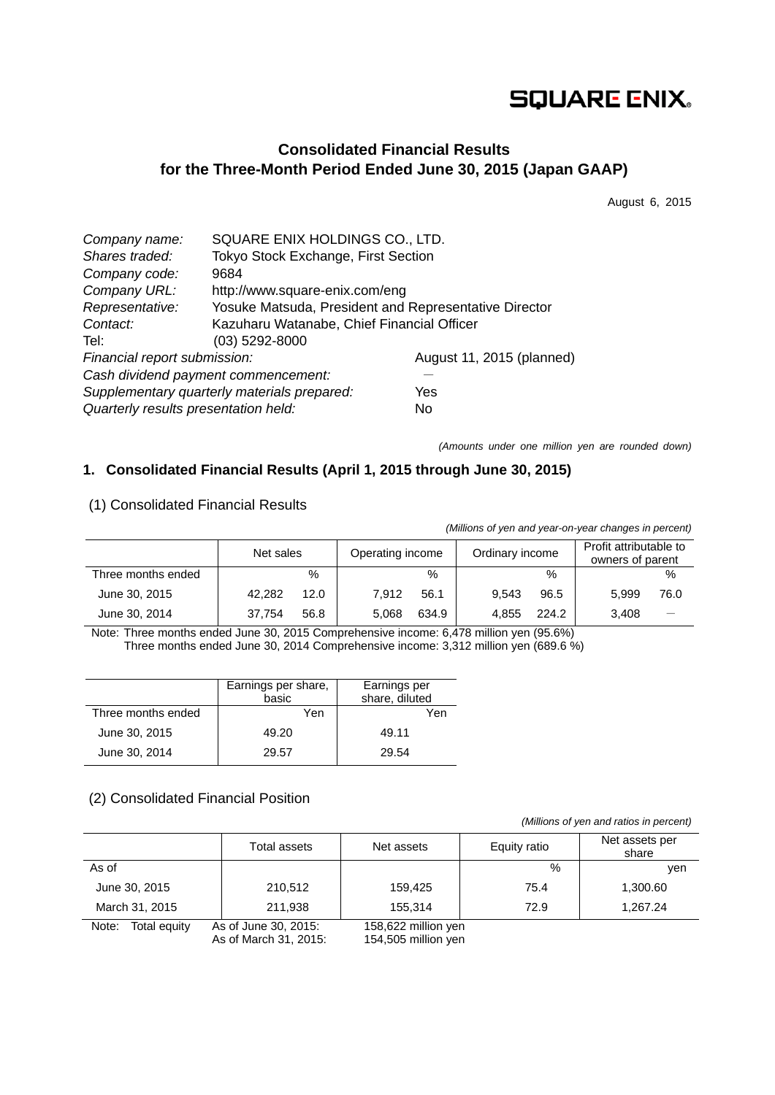# **SQUARE ENIX.**

# **Consolidated Financial Results for the Three-Month Period Ended June 30, 2015 (Japan GAAP)**

August 6, 2015

| Company name:                        | SQUARE ENIX HOLDINGS CO., LTD.                        |                           |  |  |
|--------------------------------------|-------------------------------------------------------|---------------------------|--|--|
| Shares traded:                       | Tokyo Stock Exchange, First Section                   |                           |  |  |
| Company code:                        | 9684                                                  |                           |  |  |
| Company URL:                         | http://www.square-enix.com/eng                        |                           |  |  |
| Representative:                      | Yosuke Matsuda, President and Representative Director |                           |  |  |
| Contact:                             | Kazuharu Watanabe, Chief Financial Officer            |                           |  |  |
| Tel:                                 | $(03)$ 5292-8000                                      |                           |  |  |
| Financial report submission:         |                                                       | August 11, 2015 (planned) |  |  |
|                                      | Cash dividend payment commencement:                   |                           |  |  |
|                                      | Supplementary quarterly materials prepared:           | Yes                       |  |  |
| Quarterly results presentation held: |                                                       | No                        |  |  |

*(Amounts under one million yen are rounded down)* 

# **1. Consolidated Financial Results (April 1, 2015 through June 30, 2015)**

| (Millions of yen and year-on-year changes in percent) |           |      |                  |       |                 |       |                                            |      |
|-------------------------------------------------------|-----------|------|------------------|-------|-----------------|-------|--------------------------------------------|------|
|                                                       | Net sales |      | Operating income |       | Ordinary income |       | Profit attributable to<br>owners of parent |      |
| Three months ended                                    |           | $\%$ |                  | $\%$  |                 | $\%$  |                                            | %    |
| June 30, 2015                                         | 42.282    | 12.0 | 7.912            | 56.1  | 9.543           | 96.5  | 5.999                                      | 76.0 |
| June 30, 2014                                         | 37.754    | 56.8 | 5.068            | 634.9 | 4.855           | 224.2 | 3,408                                      |      |

### (1) Consolidated Financial Results

Note: Three months ended June 30, 2015 Comprehensive income: 6,478 million yen (95.6%) Three months ended June 30, 2014 Comprehensive income: 3,312 million yen (689.6 %)

|                    | Earnings per share,<br>basic | Earnings per<br>share, diluted |
|--------------------|------------------------------|--------------------------------|
| Three months ended | Yen                          | Yen                            |
| June 30, 2015      | 49.20                        | 49.11                          |
| June 30, 2014      | 29.57                        | 29.54                          |

### (2) Consolidated Financial Position

 *(Millions of yen and ratios in percent)*

|                       | Total assets                                  | Net assets                                 | Equity ratio | Net assets per<br>share |
|-----------------------|-----------------------------------------------|--------------------------------------------|--------------|-------------------------|
| As of                 |                                               |                                            | %            | ven                     |
| June 30, 2015         | 210,512                                       | 159.425                                    | 75.4         | 1,300.60                |
| March 31, 2015        | 211,938                                       | 155.314                                    | 72.9         | 1,267.24                |
| Total equity<br>Note: | As of June 30, 2015:<br>As of March 31, 2015: | 158,622 million yen<br>154,505 million yen |              |                         |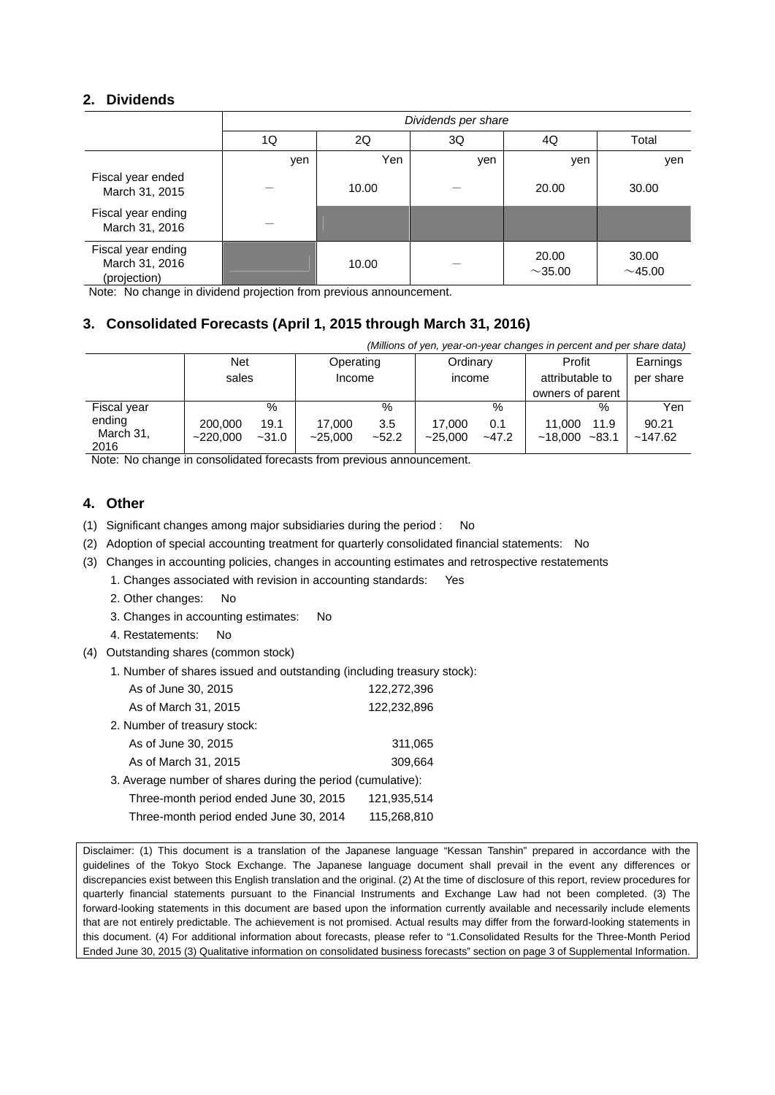### **2. Dividends**

|                                                      | Dividends per share |       |     |                        |                |  |
|------------------------------------------------------|---------------------|-------|-----|------------------------|----------------|--|
|                                                      | 1Q                  | 2Q    | 3Q  | 4Q                     | Total          |  |
|                                                      | yen                 | Yen   | yen | yen                    | yen            |  |
| Fiscal year ended<br>March 31, 2015                  |                     | 10.00 |     | 20.00                  | 30.00          |  |
| Fiscal year ending<br>March 31, 2016                 |                     |       |     |                        |                |  |
| Fiscal year ending<br>March 31, 2016<br>(projection) |                     | 10.00 |     | 20.00<br>${\sim}35.00$ | 30.00<br>~1.00 |  |

Note: No change in dividend projection from previous announcement.

## **3. Consolidated Forecasts (April 1, 2015 through March 31, 2016)**

| (Millions of yen, year-on-year changes in percent and per share data) |                     |                 |                   |                |                   |                |                   |                  |                  |
|-----------------------------------------------------------------------|---------------------|-----------------|-------------------|----------------|-------------------|----------------|-------------------|------------------|------------------|
|                                                                       | <b>Net</b>          |                 | Operating         |                | Ordinary          |                | Profit            |                  | Earnings         |
|                                                                       | sales               |                 | Income            |                | income            |                | attributable to   |                  | per share        |
|                                                                       |                     |                 |                   |                |                   |                | owners of parent  |                  |                  |
| Fiscal year                                                           |                     | %               |                   | $\%$           |                   | $\%$           |                   | $\%$             | Yen              |
| ending<br>March 31,<br>2016                                           | 200,000<br>~220.000 | 19.1<br>$-31.0$ | 17.000<br>~25.000 | 3.5<br>$-52.2$ | 17.000<br>~25.000 | 0.1<br>$-47.2$ | 11.000<br>~18.000 | 11.9<br>$~-83.1$ | 90.21<br>~147.62 |

Note: No change in consolidated forecasts from previous announcement.

### **4. Other**

(1) Significant changes among major subsidiaries during the period : No

- (2) Adoption of special accounting treatment for quarterly consolidated financial statements: No
- (3) Changes in accounting policies, changes in accounting estimates and retrospective restatements

1. Changes associated with revision in accounting standards: Yes

- 2. Other changes: No
- 3. Changes in accounting estimates: No
- 4. Restatements: No
- (4) Outstanding shares (common stock)

| 1. Number of shares issued and outstanding (including treasury stock): |  |
|------------------------------------------------------------------------|--|
|------------------------------------------------------------------------|--|

| As of June 30, 2015                                         | 122,272,396 |
|-------------------------------------------------------------|-------------|
| As of March 31, 2015                                        | 122,232,896 |
| 2. Number of treasury stock:                                |             |
| As of June 30, 2015                                         | 311,065     |
| As of March 31, 2015                                        | 309,664     |
| 3. Average number of shares during the period (cumulative): |             |
| Three-month period ended June 30, 2015                      | 121,935,514 |
| Three-month period ended June 30, 2014                      | 115,268,810 |

Disclaimer: (1) This document is a translation of the Japanese language "Kessan Tanshin" prepared in accordance with the guidelines of the Tokyo Stock Exchange. The Japanese language document shall prevail in the event any differences or discrepancies exist between this English translation and the original. (2) At the time of disclosure of this report, review procedures for quarterly financial statements pursuant to the Financial Instruments and Exchange Law had not been completed. (3) The forward-looking statements in this document are based upon the information currently available and necessarily include elements that are not entirely predictable. The achievement is not promised. Actual results may differ from the forward-looking statements in this document. (4) For additional information about forecasts, please refer to "1.Consolidated Results for the Three-Month Period Ended June 30, 2015 (3) Qualitative information on consolidated business forecasts" section on page 3 of Supplemental Information.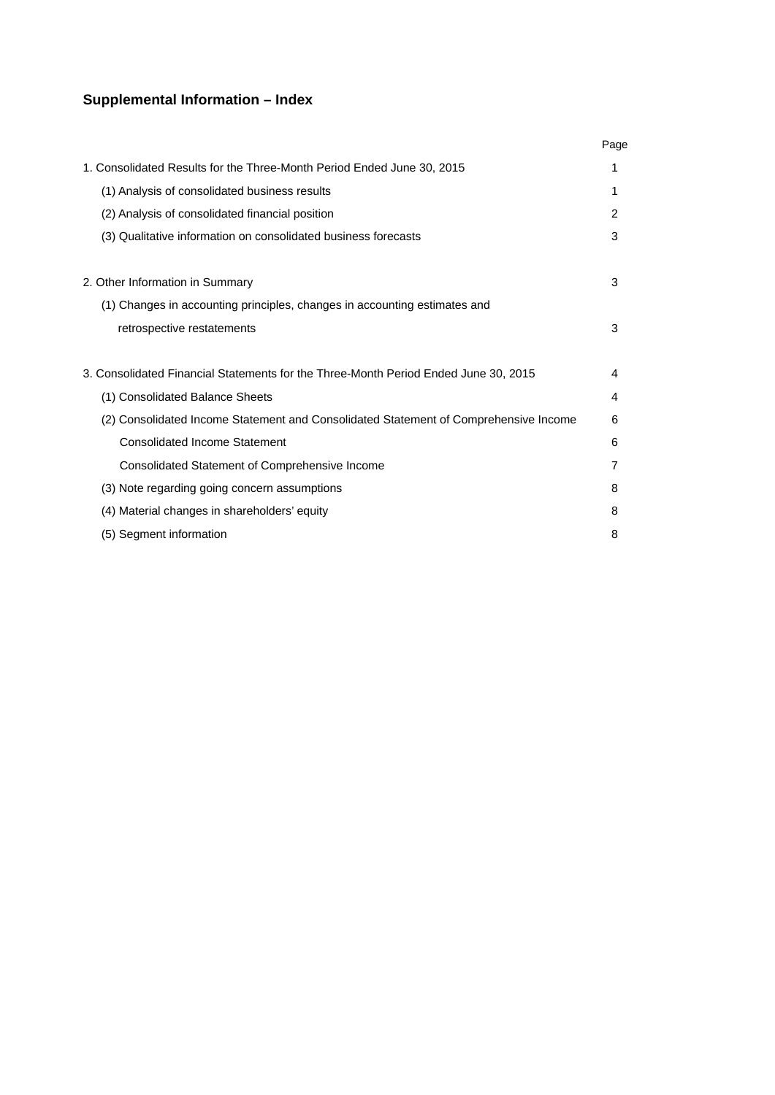# **Supplemental Information – Index**

|                                                                                      | Page |
|--------------------------------------------------------------------------------------|------|
| 1. Consolidated Results for the Three-Month Period Ended June 30, 2015               | 1    |
| (1) Analysis of consolidated business results                                        | 1    |
| (2) Analysis of consolidated financial position                                      | 2    |
| (3) Qualitative information on consolidated business forecasts                       | 3    |
| 2. Other Information in Summary                                                      | 3    |
| (1) Changes in accounting principles, changes in accounting estimates and            |      |
| retrospective restatements                                                           | 3    |
| 3. Consolidated Financial Statements for the Three-Month Period Ended June 30, 2015  | 4    |
| (1) Consolidated Balance Sheets                                                      | 4    |
| (2) Consolidated Income Statement and Consolidated Statement of Comprehensive Income | 6    |
| <b>Consolidated Income Statement</b>                                                 | 6    |
| Consolidated Statement of Comprehensive Income                                       | 7    |
| (3) Note regarding going concern assumptions                                         | 8    |
| (4) Material changes in shareholders' equity                                         | 8    |
| (5) Segment information                                                              | 8    |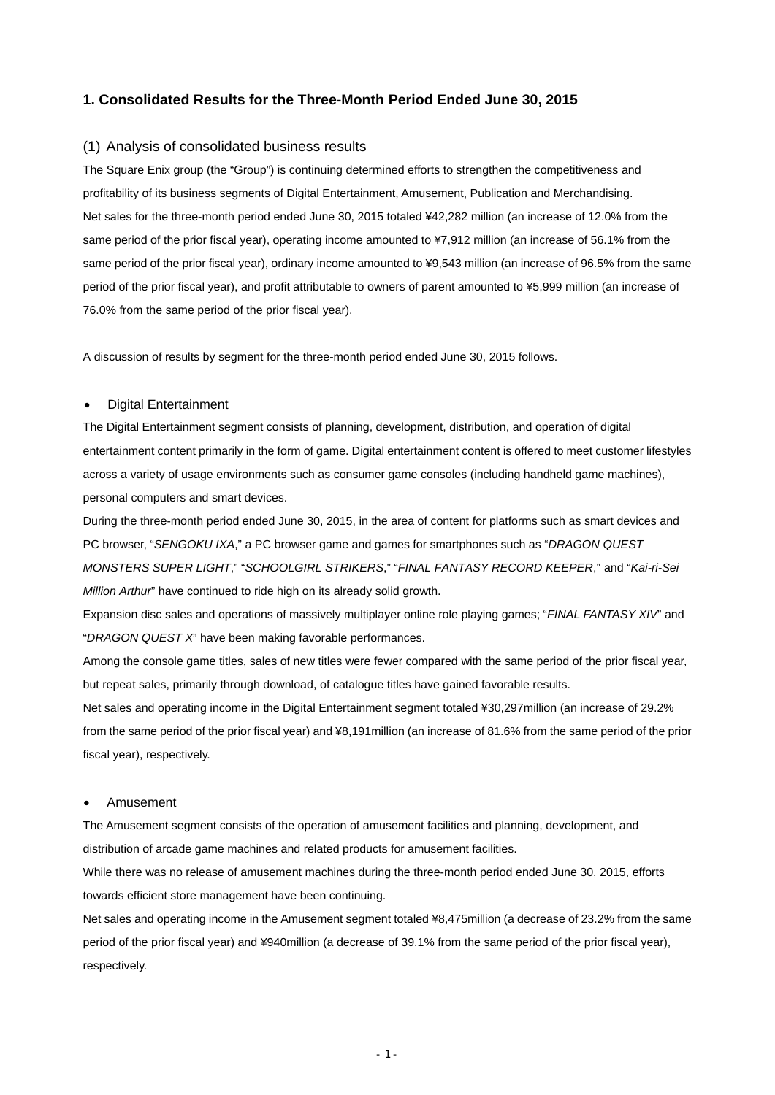### **1. Consolidated Results for the Three-Month Period Ended June 30, 2015**

#### (1) Analysis of consolidated business results

The Square Enix group (the "Group") is continuing determined efforts to strengthen the competitiveness and profitability of its business segments of Digital Entertainment, Amusement, Publication and Merchandising. Net sales for the three-month period ended June 30, 2015 totaled ¥42,282 million (an increase of 12.0% from the same period of the prior fiscal year), operating income amounted to ¥7,912 million (an increase of 56.1% from the same period of the prior fiscal year), ordinary income amounted to ¥9,543 million (an increase of 96.5% from the same period of the prior fiscal year), and profit attributable to owners of parent amounted to ¥5,999 million (an increase of 76.0% from the same period of the prior fiscal year).

A discussion of results by segment for the three-month period ended June 30, 2015 follows.

#### Digital Entertainment

The Digital Entertainment segment consists of planning, development, distribution, and operation of digital entertainment content primarily in the form of game. Digital entertainment content is offered to meet customer lifestyles across a variety of usage environments such as consumer game consoles (including handheld game machines), personal computers and smart devices.

During the three-month period ended June 30, 2015, in the area of content for platforms such as smart devices and PC browser, "*SENGOKU IXA*," a PC browser game and games for smartphones such as "*DRAGON QUEST MONSTERS SUPER LIGHT*," "*SCHOOLGIRL STRIKERS*," "*FINAL FANTASY RECORD KEEPER*," and "*Kai-ri-Sei Million Arthur*" have continued to ride high on its already solid growth.

Expansion disc sales and operations of massively multiplayer online role playing games; "*FINAL FANTASY XIV*" and "*DRAGON QUEST X*" have been making favorable performances.

Among the console game titles, sales of new titles were fewer compared with the same period of the prior fiscal year, but repeat sales, primarily through download, of catalogue titles have gained favorable results.

Net sales and operating income in the Digital Entertainment segment totaled ¥30,297million (an increase of 29.2% from the same period of the prior fiscal year) and ¥8,191million (an increase of 81.6% from the same period of the prior fiscal year), respectively.

#### Amusement

The Amusement segment consists of the operation of amusement facilities and planning, development, and distribution of arcade game machines and related products for amusement facilities.

While there was no release of amusement machines during the three-month period ended June 30, 2015, efforts towards efficient store management have been continuing.

Net sales and operating income in the Amusement segment totaled ¥8,475million (a decrease of 23.2% from the same period of the prior fiscal year) and ¥940million (a decrease of 39.1% from the same period of the prior fiscal year), respectively.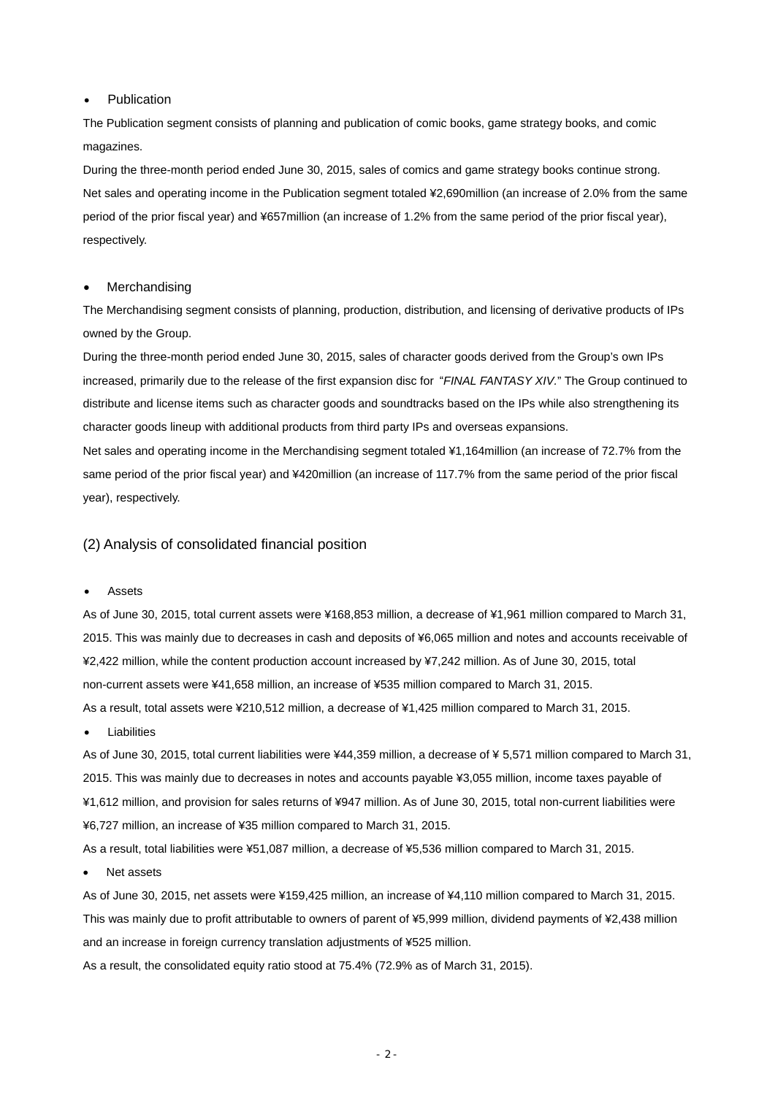#### • Publication

The Publication segment consists of planning and publication of comic books, game strategy books, and comic magazines.

During the three-month period ended June 30, 2015, sales of comics and game strategy books continue strong. Net sales and operating income in the Publication segment totaled ¥2,690million (an increase of 2.0% from the same period of the prior fiscal year) and ¥657million (an increase of 1.2% from the same period of the prior fiscal year), respectively.

#### Merchandising

The Merchandising segment consists of planning, production, distribution, and licensing of derivative products of IPs owned by the Group.

During the three-month period ended June 30, 2015, sales of character goods derived from the Group's own IPs increased, primarily due to the release of the first expansion disc for "*FINAL FANTASY XIV.*" The Group continued to distribute and license items such as character goods and soundtracks based on the IPs while also strengthening its character goods lineup with additional products from third party IPs and overseas expansions.

Net sales and operating income in the Merchandising segment totaled ¥1,164million (an increase of 72.7% from the same period of the prior fiscal year) and ¥420million (an increase of 117.7% from the same period of the prior fiscal year), respectively.

#### (2) Analysis of consolidated financial position

#### Assets

As of June 30, 2015, total current assets were ¥168,853 million, a decrease of ¥1,961 million compared to March 31, 2015. This was mainly due to decreases in cash and deposits of ¥6,065 million and notes and accounts receivable of ¥2,422 million, while the content production account increased by ¥7,242 million. As of June 30, 2015, total non-current assets were ¥41,658 million, an increase of ¥535 million compared to March 31, 2015. As a result, total assets were ¥210,512 million, a decrease of ¥1,425 million compared to March 31, 2015.

Liabilities

As of June 30, 2015, total current liabilities were ¥44,359 million, a decrease of ¥ 5,571 million compared to March 31, 2015. This was mainly due to decreases in notes and accounts payable ¥3,055 million, income taxes payable of ¥1,612 million, and provision for sales returns of ¥947 million. As of June 30, 2015, total non-current liabilities were ¥6,727 million, an increase of ¥35 million compared to March 31, 2015.

As a result, total liabilities were ¥51,087 million, a decrease of ¥5,536 million compared to March 31, 2015.

Net assets

As of June 30, 2015, net assets were ¥159,425 million, an increase of ¥4,110 million compared to March 31, 2015. This was mainly due to profit attributable to owners of parent of ¥5,999 million, dividend payments of ¥2,438 million and an increase in foreign currency translation adjustments of ¥525 million.

As a result, the consolidated equity ratio stood at 75.4% (72.9% as of March 31, 2015).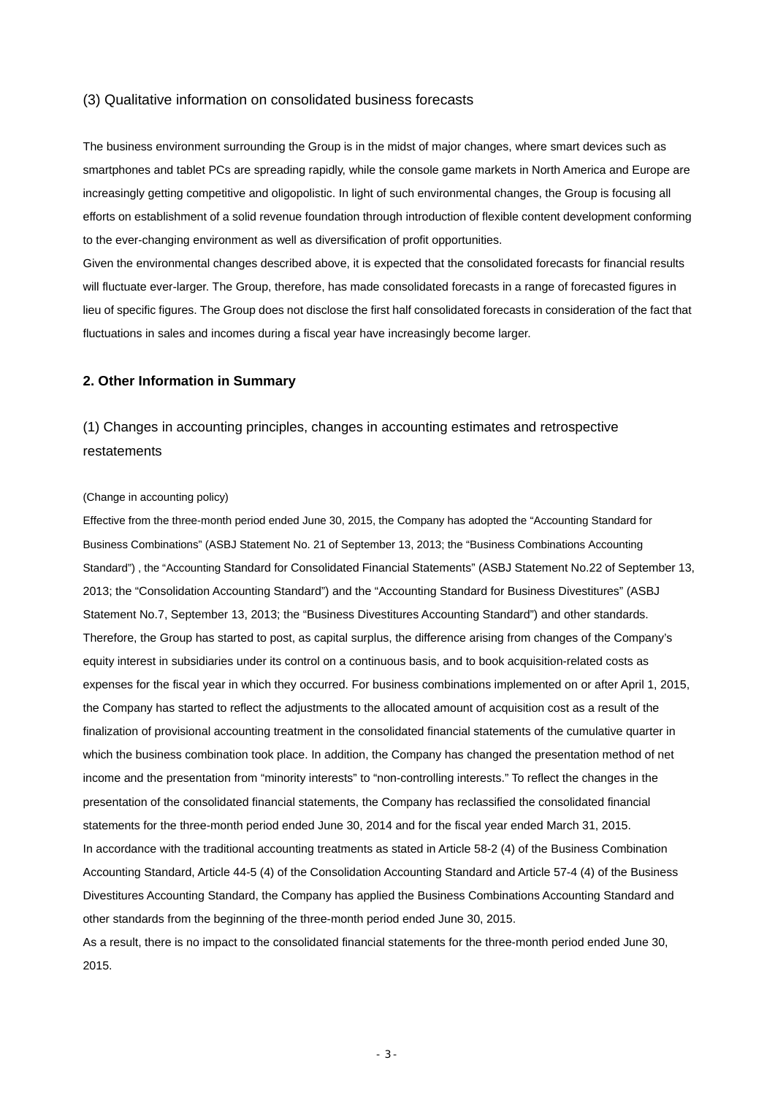#### (3) Qualitative information on consolidated business forecasts

The business environment surrounding the Group is in the midst of major changes, where smart devices such as smartphones and tablet PCs are spreading rapidly, while the console game markets in North America and Europe are increasingly getting competitive and oligopolistic. In light of such environmental changes, the Group is focusing all efforts on establishment of a solid revenue foundation through introduction of flexible content development conforming to the ever-changing environment as well as diversification of profit opportunities.

Given the environmental changes described above, it is expected that the consolidated forecasts for financial results will fluctuate ever-larger. The Group, therefore, has made consolidated forecasts in a range of forecasted figures in lieu of specific figures. The Group does not disclose the first half consolidated forecasts in consideration of the fact that fluctuations in sales and incomes during a fiscal year have increasingly become larger.

#### **2. Other Information in Summary**

# (1) Changes in accounting principles, changes in accounting estimates and retrospective restatements

#### (Change in accounting policy)

Effective from the three-month period ended June 30, 2015, the Company has adopted the "Accounting Standard for Business Combinations" (ASBJ Statement No. 21 of September 13, 2013; the "Business Combinations Accounting Standard") , the "Accounting Standard for Consolidated Financial Statements" (ASBJ Statement No.22 of September 13, 2013; the "Consolidation Accounting Standard") and the "Accounting Standard for Business Divestitures" (ASBJ Statement No.7, September 13, 2013; the "Business Divestitures Accounting Standard") and other standards. Therefore, the Group has started to post, as capital surplus, the difference arising from changes of the Company's equity interest in subsidiaries under its control on a continuous basis, and to book acquisition-related costs as expenses for the fiscal year in which they occurred. For business combinations implemented on or after April 1, 2015, the Company has started to reflect the adjustments to the allocated amount of acquisition cost as a result of the finalization of provisional accounting treatment in the consolidated financial statements of the cumulative quarter in which the business combination took place. In addition, the Company has changed the presentation method of net income and the presentation from "minority interests" to "non-controlling interests." To reflect the changes in the presentation of the consolidated financial statements, the Company has reclassified the consolidated financial statements for the three-month period ended June 30, 2014 and for the fiscal year ended March 31, 2015. In accordance with the traditional accounting treatments as stated in Article 58-2 (4) of the Business Combination Accounting Standard, Article 44-5 (4) of the Consolidation Accounting Standard and Article 57-4 (4) of the Business Divestitures Accounting Standard, the Company has applied the Business Combinations Accounting Standard and other standards from the beginning of the three-month period ended June 30, 2015. As a result, there is no impact to the consolidated financial statements for the three-month period ended June 30,

2015.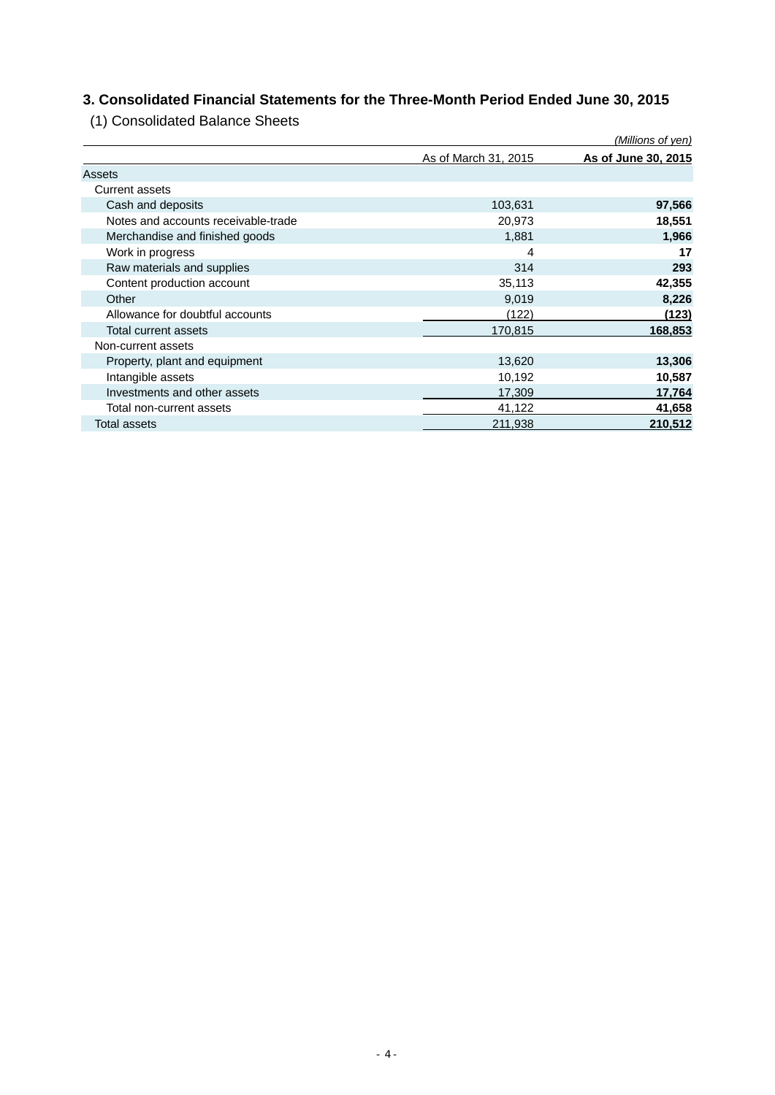# **3. Consolidated Financial Statements for the Three-Month Period Ended June 30, 2015**

(1) Consolidated Balance Sheets

|                                     |                      | (Millions of yen)   |
|-------------------------------------|----------------------|---------------------|
|                                     | As of March 31, 2015 | As of June 30, 2015 |
| Assets                              |                      |                     |
| <b>Current assets</b>               |                      |                     |
| Cash and deposits                   | 103,631              | 97,566              |
| Notes and accounts receivable-trade | 20,973               | 18,551              |
| Merchandise and finished goods      | 1,881                | 1,966               |
| Work in progress                    | 4                    | 17                  |
| Raw materials and supplies          | 314                  | 293                 |
| Content production account          | 35,113               | 42,355              |
| Other                               | 9,019                | 8,226               |
| Allowance for doubtful accounts     | (122)                | (123)               |
| Total current assets                | 170,815              | 168,853             |
| Non-current assets                  |                      |                     |
| Property, plant and equipment       | 13,620               | 13,306              |
| Intangible assets                   | 10,192               | 10,587              |
| Investments and other assets        | 17,309               | 17,764              |
| Total non-current assets            | 41,122               | 41,658              |
| Total assets                        | 211,938              | 210,512             |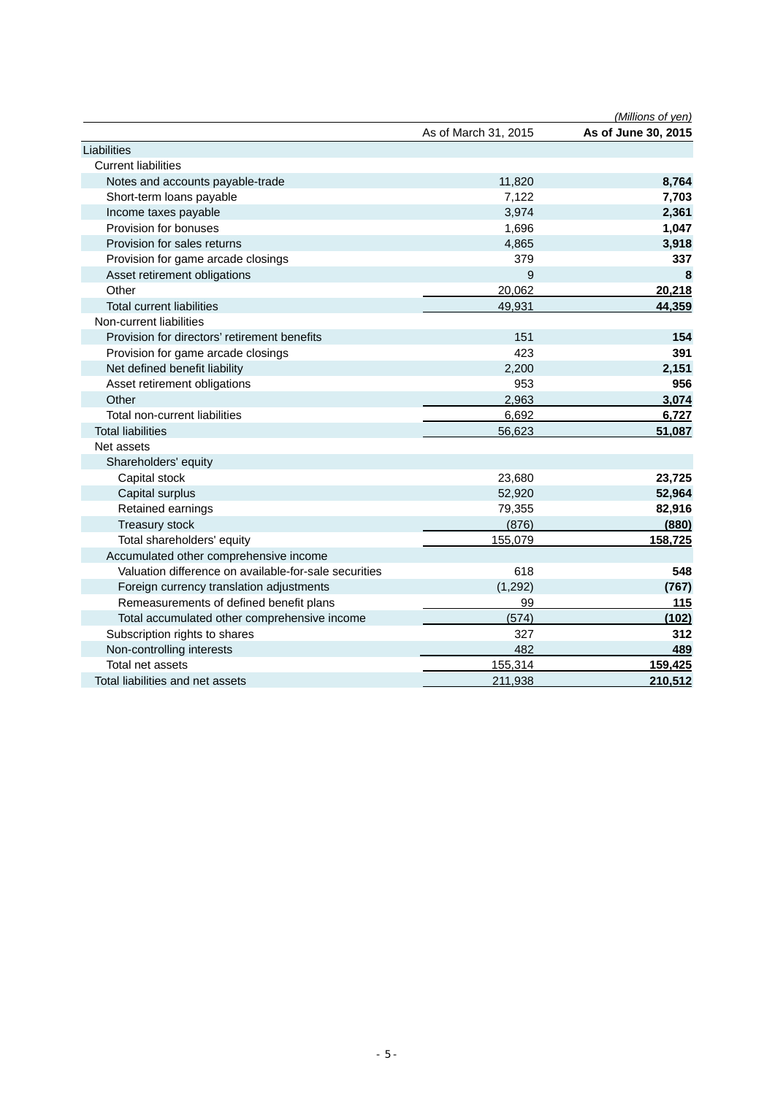|                                                       |                      | (Millions of yen)   |
|-------------------------------------------------------|----------------------|---------------------|
|                                                       | As of March 31, 2015 | As of June 30, 2015 |
| Liabilities                                           |                      |                     |
| <b>Current liabilities</b>                            |                      |                     |
| Notes and accounts payable-trade                      | 11,820               | 8,764               |
| Short-term loans payable                              | 7,122                | 7,703               |
| Income taxes payable                                  | 3,974                | 2,361               |
| Provision for bonuses                                 | 1,696                | 1,047               |
| Provision for sales returns                           | 4,865                | 3,918               |
| Provision for game arcade closings                    | 379                  | 337                 |
| Asset retirement obligations                          | 9                    | 8                   |
| Other                                                 | 20,062               | 20,218              |
| <b>Total current liabilities</b>                      | 49,931               | 44,359              |
| Non-current liabilities                               |                      |                     |
| Provision for directors' retirement benefits          | 151                  | 154                 |
| Provision for game arcade closings                    | 423                  | 391                 |
| Net defined benefit liability                         | 2,200                | 2,151               |
| Asset retirement obligations                          | 953                  | 956                 |
| Other                                                 | 2,963                | 3,074               |
| Total non-current liabilities                         | 6,692                | 6,727               |
| <b>Total liabilities</b>                              | 56,623               | 51,087              |
| Net assets                                            |                      |                     |
| Shareholders' equity                                  |                      |                     |
| Capital stock                                         | 23,680               | 23,725              |
| Capital surplus                                       | 52,920               | 52,964              |
| Retained earnings                                     | 79,355               | 82,916              |
| Treasury stock                                        | (876)                | (880)               |
| Total shareholders' equity                            | 155,079              | 158,725             |
| Accumulated other comprehensive income                |                      |                     |
| Valuation difference on available-for-sale securities | 618                  | 548                 |
| Foreign currency translation adjustments              | (1, 292)             | (767)               |
| Remeasurements of defined benefit plans               | 99                   | 115                 |
| Total accumulated other comprehensive income          | (574)                | (102)               |
| Subscription rights to shares                         | 327                  | 312                 |
| Non-controlling interests                             | 482                  | 489                 |
| Total net assets                                      | 155,314              | 159,425             |
| Total liabilities and net assets                      | 211,938              | 210,512             |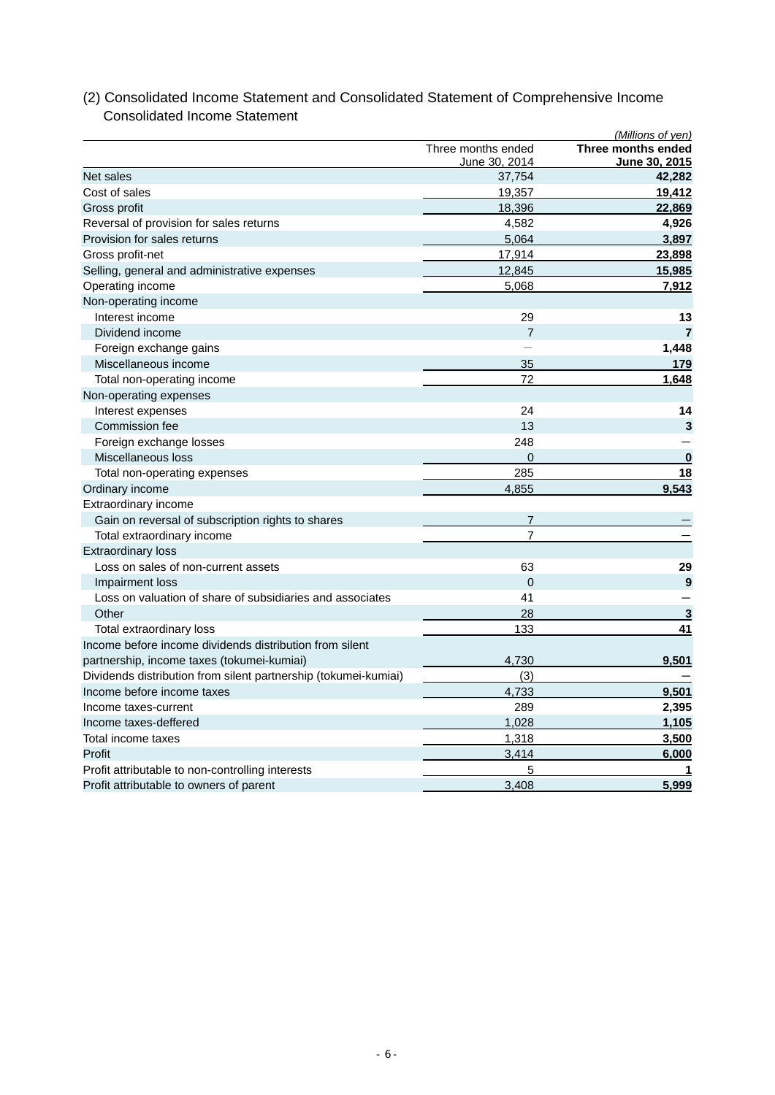|                                                                 |                                     | (Millions of yen)                   |
|-----------------------------------------------------------------|-------------------------------------|-------------------------------------|
|                                                                 | Three months ended<br>June 30, 2014 | Three months ended<br>June 30, 2015 |
| Net sales                                                       | 37,754                              | 42,282                              |
| Cost of sales                                                   | 19,357                              | 19,412                              |
| Gross profit                                                    | 18,396                              | 22,869                              |
| Reversal of provision for sales returns                         | 4,582                               | 4,926                               |
| Provision for sales returns                                     | 5,064                               | 3,897                               |
| Gross profit-net                                                | 17,914                              | 23,898                              |
| Selling, general and administrative expenses                    | 12,845                              | 15,985                              |
| Operating income                                                | 5,068                               | 7,912                               |
| Non-operating income                                            |                                     |                                     |
| Interest income                                                 | 29                                  | 13                                  |
| Dividend income                                                 | $\overline{7}$                      | $\overline{7}$                      |
| Foreign exchange gains                                          |                                     | 1,448                               |
| Miscellaneous income                                            | 35                                  | 179                                 |
| Total non-operating income                                      | 72                                  | 1,648                               |
| Non-operating expenses                                          |                                     |                                     |
| Interest expenses                                               | 24                                  | 14                                  |
| Commission fee                                                  | 13                                  | 3                                   |
| Foreign exchange losses                                         | 248                                 |                                     |
| Miscellaneous loss                                              | $\overline{0}$                      | $\bf{0}$                            |
| Total non-operating expenses                                    | 285                                 | 18                                  |
| Ordinary income                                                 | 4,855                               | 9,543                               |
| Extraordinary income                                            |                                     |                                     |
| Gain on reversal of subscription rights to shares               | $\overline{7}$                      |                                     |
| Total extraordinary income                                      | $\overline{7}$                      |                                     |
| <b>Extraordinary loss</b>                                       |                                     |                                     |
| Loss on sales of non-current assets                             | 63                                  | 29                                  |
| Impairment loss                                                 | $\overline{0}$                      | 9                                   |
| Loss on valuation of share of subsidiaries and associates       | 41                                  |                                     |
| Other                                                           | 28                                  | 3                                   |
| Total extraordinary loss                                        | 133                                 | 41                                  |
| Income before income dividends distribution from silent         |                                     |                                     |
| partnership, income taxes (tokumei-kumiai)                      | 4,730                               | 9,501                               |
| Dividends distribution from silent partnership (tokumei-kumiai) | (3)                                 |                                     |
| Income before income taxes                                      | 4,733                               | 9,501                               |
| Income taxes-current                                            | 289                                 | 2,395                               |
| Income taxes-deffered                                           | 1,028                               | 1,105                               |
| Total income taxes                                              | 1.318                               | 3,500                               |
| Profit                                                          | 3,414                               | 6,000                               |
| Profit attributable to non-controlling interests                | 5                                   | 1                                   |
| Profit attributable to owners of parent                         | 3,408                               | 5,999                               |

# (2) Consolidated Income Statement and Consolidated Statement of Comprehensive Income Consolidated Income Statement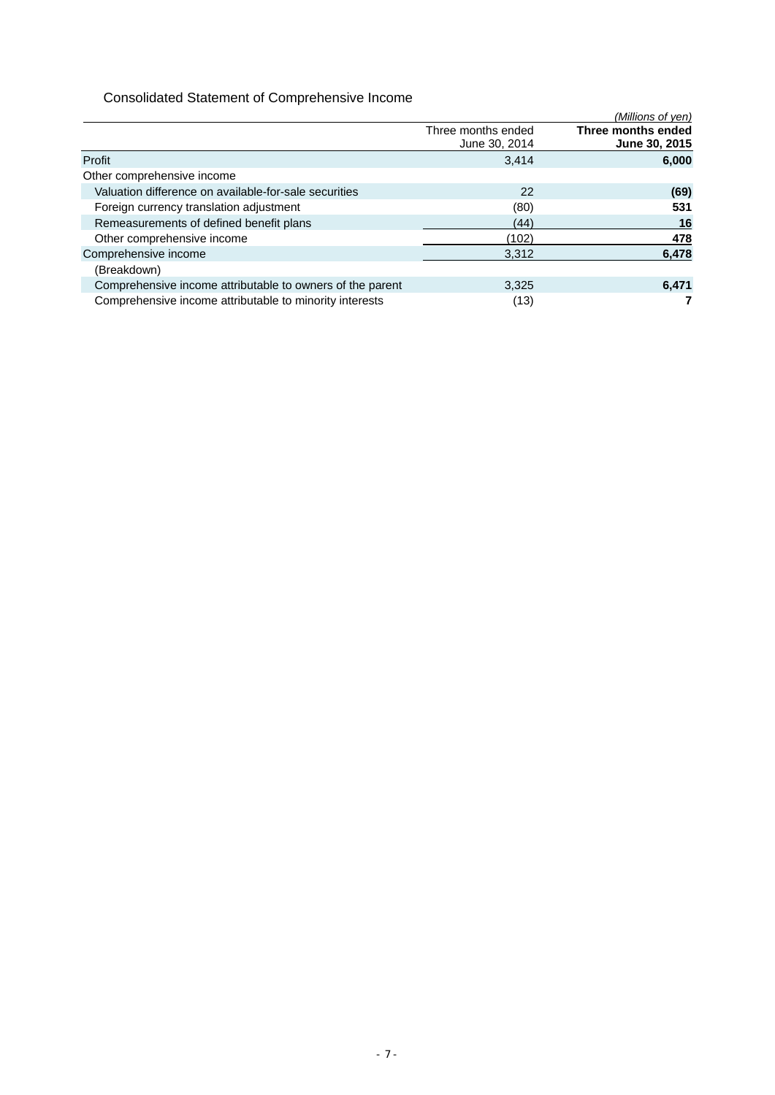# Consolidated Statement of Comprehensive Income

|                                                           |                                     | (Millions of yen)                   |
|-----------------------------------------------------------|-------------------------------------|-------------------------------------|
|                                                           | Three months ended<br>June 30, 2014 | Three months ended<br>June 30, 2015 |
| Profit                                                    | 3.414                               | 6,000                               |
| Other comprehensive income                                |                                     |                                     |
| Valuation difference on available-for-sale securities     | 22                                  | (69)                                |
| Foreign currency translation adjustment                   | (80)                                | 531                                 |
| Remeasurements of defined benefit plans                   | (44)                                | 16                                  |
| Other comprehensive income                                | (102)                               | 478                                 |
| Comprehensive income                                      | 3,312                               | 6,478                               |
| (Breakdown)                                               |                                     |                                     |
| Comprehensive income attributable to owners of the parent | 3,325                               | 6,471                               |
| Comprehensive income attributable to minority interests   | (13)                                |                                     |